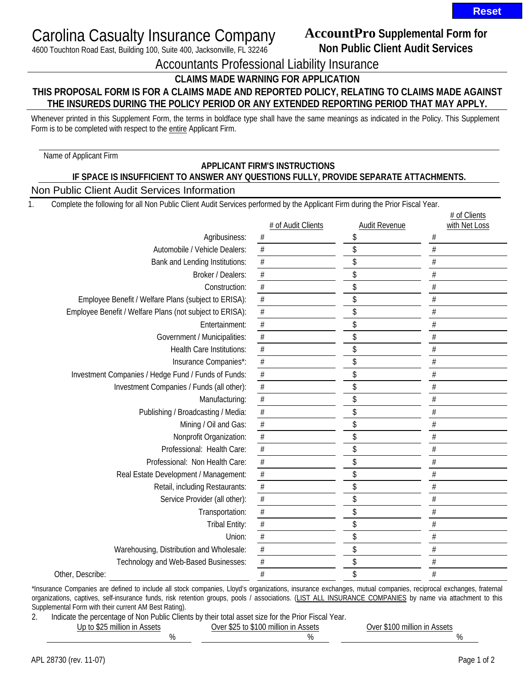# Carolina Casualty Insurance Company

4600 Touchton Road East, Building 100, Suite 400, Jacksonville, FL 32246

## **AccountPro Supplemental Form for Non Public Client Audit Services**

Accountants Professional Liability Insurance

**CLAIMS MADE WARNING FOR APPLICATION** 

### **THIS PROPOSAL FORM IS FOR A CLAIMS MADE AND REPORTED POLICY, RELATING TO CLAIMS MADE AGAINST THE INSUREDS DURING THE POLICY PERIOD OR ANY EXTENDED REPORTING PERIOD THAT MAY APPLY.**

Whenever printed in this Supplement Form, the terms in boldface type shall have the same meanings as indicated in the Policy. This Supplement Form is to be completed with respect to the entire Applicant Firm.

Name of Applicant Firm

#### **APPLICANT FIRM'S INSTRUCTIONS IF SPACE IS INSUFFICIENT TO ANSWER ANY QUESTIONS FULLY, PROVIDE SEPARATE ATTACHMENTS.** Non Public Client Audit Services Information

1. Complete the following for all Non Public Client Audit Services performed by the Applicant Firm during the Prior Fiscal Year.

|                                                          |                    |                      | # of Clients  |
|----------------------------------------------------------|--------------------|----------------------|---------------|
|                                                          | # of Audit Clients | <b>Audit Revenue</b> | with Net Loss |
| Agribusiness:                                            | $\#$               | \$                   | #             |
| Automobile / Vehicle Dealers:                            | $\#$               | \$                   | $\#$          |
| Bank and Lending Institutions:                           | $\#$               | \$                   | $\#$          |
| Broker / Dealers:                                        | $\#$               | \$                   | $\#$          |
| Construction:                                            | $\#$               | \$                   | $\#$          |
| Employee Benefit / Welfare Plans (subject to ERISA):     | $\#$               | \$                   | $\#$          |
| Employee Benefit / Welfare Plans (not subject to ERISA): | $\#$               | \$                   | $\#$          |
| Entertainment:                                           | $\#$               | \$                   | $\#$          |
| Government / Municipalities:                             | $\#$               | \$                   | #             |
| <b>Health Care Institutions:</b>                         | $\#$               | \$                   | $\#$          |
| Insurance Companies*:                                    | $\#$               | \$                   | $\#$          |
| Investment Companies / Hedge Fund / Funds of Funds:      | $\overline{\#}$    | \$                   | $\#$          |
| Investment Companies / Funds (all other):                | $\overline{\#}$    | \$                   | $\#$          |
| Manufacturing:                                           | $\overline{\#}$    | \$                   | $\#$          |
| Publishing / Broadcasting / Media:                       | $\#$               | \$                   | $\#$          |
| Mining / Oil and Gas:                                    | $\overline{\#}$    | \$                   | $\#$          |
| Nonprofit Organization:                                  | $\#$               | \$                   | $\#$          |
| Professional: Health Care:                               | $\#$               | \$                   | $\#$          |
| Professional: Non Health Care:                           | $\#$               | \$                   | $\#$          |
| Real Estate Development / Management:                    | $\#$               | \$                   | $\#$          |
| Retail, including Restaurants:                           | $\#$               | \$                   | $\#$          |
| Service Provider (all other):                            | $\#$               | \$                   | $\#$          |
| Transportation:                                          | $\#$               | \$                   | $\#$          |
| Tribal Entity:                                           | $\#$               | \$                   | $\#$          |
| Union:                                                   | $\#$               | \$                   | $\#$          |
| Warehousing, Distribution and Wholesale:                 | $\#$               | \$                   | $\#$          |
| Technology and Web-Based Businesses:                     | $\#$               | \$                   | $\#$          |
| Other, Describe:                                         | $\#$               | \$                   | $\#$          |

\*Insurance Companies are defined to include all stock companies, Lloyd's organizations, insurance exchanges, mutual companies, reciprocal exchanges, fraternal organizations, captives, self-insurance funds, risk retention groups, pools / associations. (LIST ALL INSURANCE COMPANIES by name via attachment to this Supplemental Form with their current AM Best Rating).

2. Indicate the percentage of Non Public Clients by their total asset size for the Prior Fiscal Year.

Up to \$25 million in Assets Over \$25 to \$100 million in Assets Over \$100 million in Assets  $\%$  %  $\qquad$